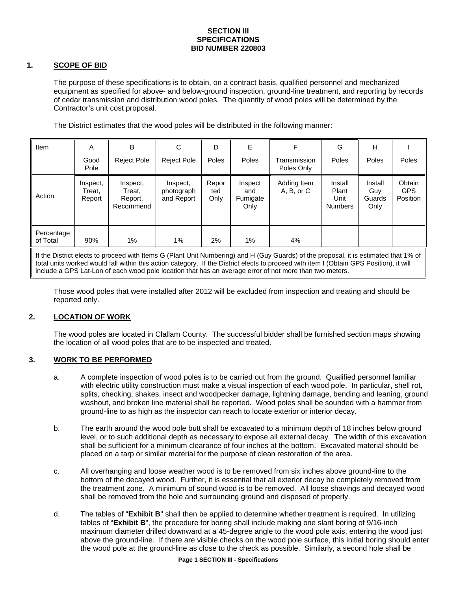#### **SECTION III SPECIFICATIONS BID NUMBER 220803**

# **1. SCOPE OF BID**

The purpose of these specifications is to obtain, on a contract basis, qualified personnel and mechanized equipment as specified for above- and below-ground inspection, ground-line treatment, and reporting by records of cedar transmission and distribution wood poles. The quantity of wood poles will be determined by the Contractor's unit cost proposal.

The District estimates that the wood poles will be distributed in the following manner:

| Item                                                                                                                                                                        | A                            | В                                          | C                                    | D                    | Е                                  | F                          | G                                          | H                                |                                  |
|-----------------------------------------------------------------------------------------------------------------------------------------------------------------------------|------------------------------|--------------------------------------------|--------------------------------------|----------------------|------------------------------------|----------------------------|--------------------------------------------|----------------------------------|----------------------------------|
|                                                                                                                                                                             | Good<br>Pole                 | <b>Reject Pole</b>                         | <b>Reject Pole</b>                   | Poles                | Poles                              | Transmission<br>Poles Only | Poles                                      | Poles                            | Poles                            |
| Action                                                                                                                                                                      | Inspect,<br>Treat.<br>Report | Inspect,<br>Treat,<br>Report,<br>Recommend | Inspect,<br>photograph<br>and Report | Repor<br>ted<br>Only | Inspect<br>and<br>Fumigate<br>Only | Adding Item<br>A, B, or C  | Install<br>Plant<br>Unit<br><b>Numbers</b> | Install<br>Guy<br>Guards<br>Only | Obtain<br><b>GPS</b><br>Position |
| Percentage<br>of Total                                                                                                                                                      | 90%                          | $1\%$                                      | $1\%$                                | 2%                   | 1%                                 | 4%                         |                                            |                                  |                                  |
| $\mathbf{r}$ , and $\mathbf{r}$ , and $\mathbf{r}$ , and $\mathbf{r}$<br>$\mathbf{r}$ . The state of $\mathbf{r}$<br>$\cdots$<br>$\cdots$<br>$\cdots$<br>$\sim$<br>$\cdots$ |                              |                                            |                                      |                      |                                    |                            |                                            |                                  |                                  |

If the District elects to proceed with Items G (Plant Unit Numbering) and H (Guy Guards) of the proposal, it is estimated that 1% of total units worked would fall within this action category. If the District elects to proceed with item I (Obtain GPS Position), it will include a GPS Lat-Lon of each wood pole location that has an average error of not more than two meters.

Those wood poles that were installed after 2012 will be excluded from inspection and treating and should be reported only.

# **2. LOCATION OF WORK**

The wood poles are located in Clallam County. The successful bidder shall be furnished section maps showing the location of all wood poles that are to be inspected and treated.

# **3. WORK TO BE PERFORMED**

- a. A complete inspection of wood poles is to be carried out from the ground. Qualified personnel familiar with electric utility construction must make a visual inspection of each wood pole. In particular, shell rot, splits, checking, shakes, insect and woodpecker damage, lightning damage, bending and leaning, ground washout, and broken line material shall be reported. Wood poles shall be sounded with a hammer from ground-line to as high as the inspector can reach to locate exterior or interior decay.
- b. The earth around the wood pole butt shall be excavated to a minimum depth of 18 inches below ground level, or to such additional depth as necessary to expose all external decay. The width of this excavation shall be sufficient for a minimum clearance of four inches at the bottom. Excavated material should be placed on a tarp or similar material for the purpose of clean restoration of the area.
- c. All overhanging and loose weather wood is to be removed from six inches above ground-line to the bottom of the decayed wood. Further, it is essential that all exterior decay be completely removed from the treatment zone. A minimum of sound wood is to be removed. All loose shavings and decayed wood shall be removed from the hole and surrounding ground and disposed of properly.
- d. The tables of "**Exhibit B**" shall then be applied to determine whether treatment is required. In utilizing tables of "**Exhibit B**", the procedure for boring shall include making one slant boring of 9/16-inch maximum diameter drilled downward at a 45-degree angle to the wood pole axis, entering the wood just above the ground-line. If there are visible checks on the wood pole surface, this initial boring should enter the wood pole at the ground-line as close to the check as possible. Similarly, a second hole shall be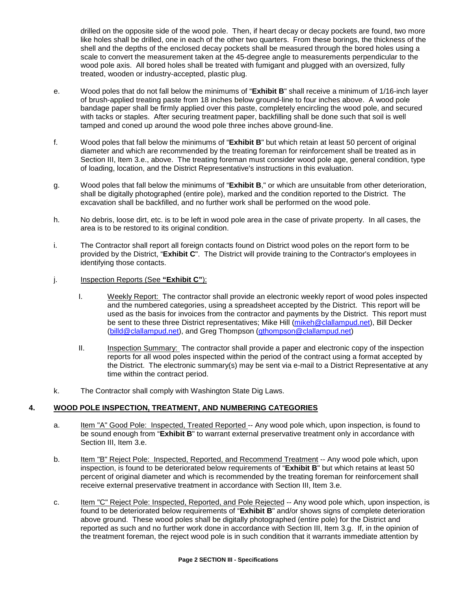drilled on the opposite side of the wood pole. Then, if heart decay or decay pockets are found, two more like holes shall be drilled, one in each of the other two quarters. From these borings, the thickness of the shell and the depths of the enclosed decay pockets shall be measured through the bored holes using a scale to convert the measurement taken at the 45-degree angle to measurements perpendicular to the wood pole axis. All bored holes shall be treated with fumigant and plugged with an oversized, fully treated, wooden or industry-accepted, plastic plug.

- e. Wood poles that do not fall below the minimums of "**Exhibit B**" shall receive a minimum of 1/16-inch layer of brush-applied treating paste from 18 inches below ground-line to four inches above. A wood pole bandage paper shall be firmly applied over this paste, completely encircling the wood pole, and secured with tacks or staples. After securing treatment paper, backfilling shall be done such that soil is well tamped and coned up around the wood pole three inches above ground-line.
- f. Wood poles that fall below the minimums of "**Exhibit B**" but which retain at least 50 percent of original diameter and which are recommended by the treating foreman for reinforcement shall be treated as in Section III, Item 3.e., above. The treating foreman must consider wood pole age, general condition, type of loading, location, and the District Representative's instructions in this evaluation.
- g. Wood poles that fall below the minimums of "**Exhibit B**," or which are unsuitable from other deterioration, shall be digitally photographed (entire pole), marked and the condition reported to the District. The excavation shall be backfilled, and no further work shall be performed on the wood pole.
- h. No debris, loose dirt, etc. is to be left in wood pole area in the case of private property. In all cases, the area is to be restored to its original condition.
- i. The Contractor shall report all foreign contacts found on District wood poles on the report form to be provided by the District, "**Exhibit C**". The District will provide training to the Contractor's employees in identifying those contacts.
- j. Inspection Reports (See **"Exhibit C"**):
	- I. Weekly Report: The contractor shall provide an electronic weekly report of wood poles inspected and the numbered categories, using a spreadsheet accepted by the District. This report will be used as the basis for invoices from the contractor and payments by the District. This report must be sent to these three District representatives; Mike Hill [\(mikeh@clallampud.net\)](mailto:johnp@clallampud.net), Bill Decker [\(billd@clallampud.net\)](mailto:billd@clallampud.net), and Greg Thompson [\(gthompson@clallampud.net\)](mailto:gthompson@clallampud.net)
	- II. Inspection Summary: The contractor shall provide a paper and electronic copy of the inspection reports for all wood poles inspected within the period of the contract using a format accepted by the District. The electronic summary(s) may be sent via e-mail to a District Representative at any time within the contract period.
- k. The Contractor shall comply with Washington State Dig Laws.

# **4. WOOD POLE INSPECTION, TREATMENT, AND NUMBERING CATEGORIES**

- a. Item "A" Good Pole: Inspected, Treated Reported -- Any wood pole which, upon inspection, is found to be sound enough from "**Exhibit B**" to warrant external preservative treatment only in accordance with Section III, Item 3.e.
- b. Item "B" Reject Pole: Inspected, Reported, and Recommend Treatment -- Any wood pole which, upon inspection, is found to be deteriorated below requirements of "**Exhibit B**" but which retains at least 50 percent of original diameter and which is recommended by the treating foreman for reinforcement shall receive external preservative treatment in accordance with Section III, Item 3.e.
- c. Item "C" Reject Pole: Inspected, Reported, and Pole Rejected -- Any wood pole which, upon inspection, is found to be deteriorated below requirements of "**Exhibit B**" and/or shows signs of complete deterioration above ground. These wood poles shall be digitally photographed (entire pole) for the District and reported as such and no further work done in accordance with Section III, Item 3.g. If, in the opinion of the treatment foreman, the reject wood pole is in such condition that it warrants immediate attention by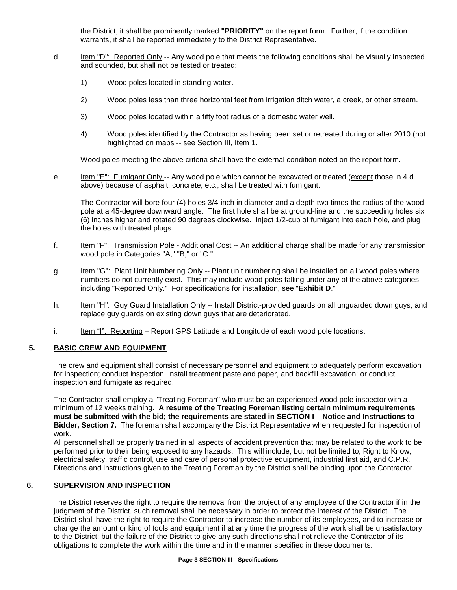the District, it shall be prominently marked **"PRIORITY"** on the report form. Further, if the condition warrants, it shall be reported immediately to the District Representative.

- d. Item "D": Reported Only -- Any wood pole that meets the following conditions shall be visually inspected and sounded, but shall not be tested or treated:
	- 1) Wood poles located in standing water.
	- 2) Wood poles less than three horizontal feet from irrigation ditch water, a creek, or other stream.
	- 3) Wood poles located within a fifty foot radius of a domestic water well.
	- 4) Wood poles identified by the Contractor as having been set or retreated during or after 2010 (not highlighted on maps -- see Section III, Item 1.

Wood poles meeting the above criteria shall have the external condition noted on the report form.

e. Item "E": Fumigant Only -- Any wood pole which cannot be excavated or treated (except those in 4.d.) above) because of asphalt, concrete, etc., shall be treated with fumigant.

The Contractor will bore four (4) holes 3/4-inch in diameter and a depth two times the radius of the wood pole at a 45-degree downward angle. The first hole shall be at ground-line and the succeeding holes six (6) inches higher and rotated 90 degrees clockwise. Inject 1/2-cup of fumigant into each hole, and plug the holes with treated plugs.

- f. Item "F": Transmission Pole Additional Cost -- An additional charge shall be made for any transmission wood pole in Categories "A," "B," or "C."
- g. Item "G": Plant Unit Numbering Only -- Plant unit numbering shall be installed on all wood poles where numbers do not currently exist. This may include wood poles falling under any of the above categories, including "Reported Only." For specifications for installation, see "**Exhibit D**."
- h. Item "H": Guy Guard Installation Only -- Install District-provided guards on all unguarded down guys, and replace guy guards on existing down guys that are deteriorated.
- i. Item "I": Reporting Report GPS Latitude and Longitude of each wood pole locations.

# **5. BASIC CREW AND EQUIPMENT**

The crew and equipment shall consist of necessary personnel and equipment to adequately perform excavation for inspection; conduct inspection, install treatment paste and paper, and backfill excavation; or conduct inspection and fumigate as required.

The Contractor shall employ a "Treating Foreman" who must be an experienced wood pole inspector with a minimum of 12 weeks training. **A resume of the Treating Foreman listing certain minimum requirements must be submitted with the bid; the requirements are stated in SECTION I – Notice and Instructions to Bidder, Section 7.** The foreman shall accompany the District Representative when requested for inspection of work.

All personnel shall be properly trained in all aspects of accident prevention that may be related to the work to be performed prior to their being exposed to any hazards. This will include, but not be limited to, Right to Know, electrical safety, traffic control, use and care of personal protective equipment, industrial first aid, and C.P.R. Directions and instructions given to the Treating Foreman by the District shall be binding upon the Contractor.

#### **6. SUPERVISION AND INSPECTION**

The District reserves the right to require the removal from the project of any employee of the Contractor if in the judgment of the District, such removal shall be necessary in order to protect the interest of the District. The District shall have the right to require the Contractor to increase the number of its employees, and to increase or change the amount or kind of tools and equipment if at any time the progress of the work shall be unsatisfactory to the District; but the failure of the District to give any such directions shall not relieve the Contractor of its obligations to complete the work within the time and in the manner specified in these documents.

#### **Page 3 SECTION III - Specifications**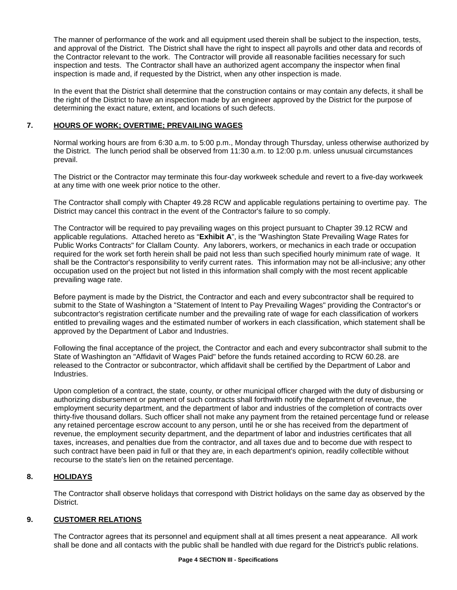The manner of performance of the work and all equipment used therein shall be subject to the inspection, tests, and approval of the District. The District shall have the right to inspect all payrolls and other data and records of the Contractor relevant to the work. The Contractor will provide all reasonable facilities necessary for such inspection and tests. The Contractor shall have an authorized agent accompany the inspector when final inspection is made and, if requested by the District, when any other inspection is made.

In the event that the District shall determine that the construction contains or may contain any defects, it shall be the right of the District to have an inspection made by an engineer approved by the District for the purpose of determining the exact nature, extent, and locations of such defects.

# **7. HOURS OF WORK; OVERTIME; PREVAILING WAGES**

Normal working hours are from 6:30 a.m. to 5:00 p.m., Monday through Thursday, unless otherwise authorized by the District. The lunch period shall be observed from 11:30 a.m. to 12:00 p.m. unless unusual circumstances prevail.

The District or the Contractor may terminate this four-day workweek schedule and revert to a five-day workweek at any time with one week prior notice to the other.

The Contractor shall comply with Chapter 49.28 RCW and applicable regulations pertaining to overtime pay. The District may cancel this contract in the event of the Contractor's failure to so comply.

The Contractor will be required to pay prevailing wages on this project pursuant to Chapter 39.12 RCW and applicable regulations. Attached hereto as "**Exhibit A**", is the "Washington State Prevailing Wage Rates for Public Works Contracts" for Clallam County. Any laborers, workers, or mechanics in each trade or occupation required for the work set forth herein shall be paid not less than such specified hourly minimum rate of wage. It shall be the Contractor's responsibility to verify current rates. This information may not be all-inclusive; any other occupation used on the project but not listed in this information shall comply with the most recent applicable prevailing wage rate.

Before payment is made by the District, the Contractor and each and every subcontractor shall be required to submit to the State of Washington a "Statement of Intent to Pay Prevailing Wages" providing the Contractor's or subcontractor's registration certificate number and the prevailing rate of wage for each classification of workers entitled to prevailing wages and the estimated number of workers in each classification, which statement shall be approved by the Department of Labor and Industries.

Following the final acceptance of the project, the Contractor and each and every subcontractor shall submit to the State of Washington an "Affidavit of Wages Paid" before the funds retained according to RCW 60.28. are released to the Contractor or subcontractor, which affidavit shall be certified by the Department of Labor and Industries.

Upon completion of a contract, the state, county, or other municipal officer charged with the duty of disbursing or authorizing disbursement or payment of such contracts shall forthwith notify the department of revenue, the employment security department, and the department of labor and industries of the completion of contracts over thirty-five thousand dollars. Such officer shall not make any payment from the retained percentage fund or release any retained percentage escrow account to any person, until he or she has received from the department of revenue, the employment security department, and the department of labor and industries certificates that all taxes, increases, and penalties due from the contractor, and all taxes due and to become due with respect to such contract have been paid in full or that they are, in each department's opinion, readily collectible without recourse to the state's lien on the retained percentage.

# **8. HOLIDAYS**

The Contractor shall observe holidays that correspond with District holidays on the same day as observed by the District.

# **9. CUSTOMER RELATIONS**

The Contractor agrees that its personnel and equipment shall at all times present a neat appearance. All work shall be done and all contacts with the public shall be handled with due regard for the District's public relations.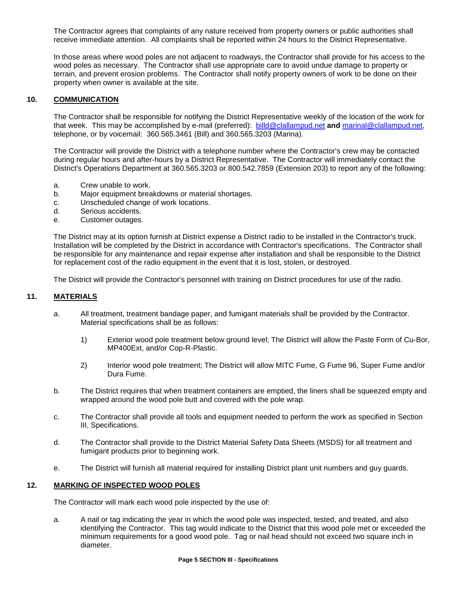The Contractor agrees that complaints of any nature received from property owners or public authorities shall receive immediate attention. All complaints shall be reported within 24 hours to the District Representative.

In those areas where wood poles are not adjacent to roadways, the Contractor shall provide for his access to the wood poles as necessary. The Contractor shall use appropriate care to avoid undue damage to property or terrain, and prevent erosion problems. The Contractor shall notify property owners of work to be done on their property when owner is available at the site.

### **10. COMMUNICATION**

The Contractor shall be responsible for notifying the District Representative weekly of the location of the work for that week. This may be accomplished by e-mail (preferred): [billd@clallampud.net](mailto:billd@clallampud.net) **and** [marinal@clallampud.net,](mailto:marinal@clallampud.net) telephone, or by voicemail: 360.565.3461 (Bill) and 360.565.3203 (Marina).

The Contractor will provide the District with a telephone number where the Contractor's crew may be contacted during regular hours and after-hours by a District Representative. The Contractor will immediately contact the District's Operations Department at 360.565.3203 or 800.542.7859 (Extension 203) to report any of the following:

- a. Crew unable to work.
- b. Major equipment breakdowns or material shortages.
- c. Unscheduled change of work locations.
- d. Serious accidents.
- e. Customer outages.

The District may at its option furnish at District expense a District radio to be installed in the Contractor's truck. Installation will be completed by the District in accordance with Contractor's specifications. The Contractor shall be responsible for any maintenance and repair expense after installation and shall be responsible to the District for replacement cost of the radio equipment in the event that it is lost, stolen, or destroyed.

The District will provide the Contractor's personnel with training on District procedures for use of the radio.

### **11. MATERIALS**

- a. All treatment, treatment bandage paper, and fumigant materials shall be provided by the Contractor. Material specifications shall be as follows:
	- 1) Exterior wood pole treatment below ground level; The District will allow the Paste Form of Cu-Bor, MP400Ext, and/or Cop-R-Plastic.
	- 2) Interior wood pole treatment; The District will allow MITC Fume, G Fume 96, Super Fume and/or Dura Fume.
- b. The District requires that when treatment containers are emptied, the liners shall be squeezed empty and wrapped around the wood pole butt and covered with the pole wrap.
- c. The Contractor shall provide all tools and equipment needed to perform the work as specified in Section III, Specifications.
- d. The Contractor shall provide to the District Material Safety Data Sheets (MSDS) for all treatment and fumigant products prior to beginning work.
- e. The District will furnish all material required for installing District plant unit numbers and guy guards.

#### **12. MARKING OF INSPECTED WOOD POLES**

The Contractor will mark each wood pole inspected by the use of:

a. A nail or tag indicating the year in which the wood pole was inspected, tested, and treated, and also identifying the Contractor. This tag would indicate to the District that this wood pole met or exceeded the minimum requirements for a good wood pole. Tag or nail head should not exceed two square inch in diameter.

#### **Page 5 SECTION III - Specifications**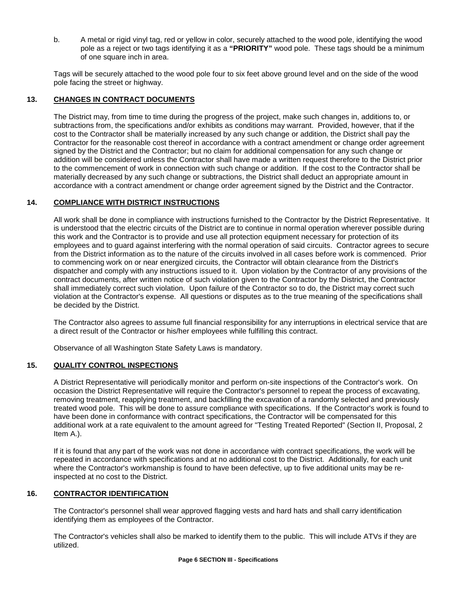b. A metal or rigid vinyl tag, red or yellow in color, securely attached to the wood pole, identifying the wood pole as a reject or two tags identifying it as a **"PRIORITY"** wood pole. These tags should be a minimum of one square inch in area.

Tags will be securely attached to the wood pole four to six feet above ground level and on the side of the wood pole facing the street or highway.

# **13. CHANGES IN CONTRACT DOCUMENTS**

The District may, from time to time during the progress of the project, make such changes in, additions to, or subtractions from, the specifications and/or exhibits as conditions may warrant. Provided, however, that if the cost to the Contractor shall be materially increased by any such change or addition, the District shall pay the Contractor for the reasonable cost thereof in accordance with a contract amendment or change order agreement signed by the District and the Contractor; but no claim for additional compensation for any such change or addition will be considered unless the Contractor shall have made a written request therefore to the District prior to the commencement of work in connection with such change or addition. If the cost to the Contractor shall be materially decreased by any such change or subtractions, the District shall deduct an appropriate amount in accordance with a contract amendment or change order agreement signed by the District and the Contractor.

## **14. COMPLIANCE WITH DISTRICT INSTRUCTIONS**

All work shall be done in compliance with instructions furnished to the Contractor by the District Representative. It is understood that the electric circuits of the District are to continue in normal operation wherever possible during this work and the Contractor is to provide and use all protection equipment necessary for protection of its employees and to guard against interfering with the normal operation of said circuits. Contractor agrees to secure from the District information as to the nature of the circuits involved in all cases before work is commenced. Prior to commencing work on or near energized circuits, the Contractor will obtain clearance from the District's dispatcher and comply with any instructions issued to it. Upon violation by the Contractor of any provisions of the contract documents, after written notice of such violation given to the Contractor by the District, the Contractor shall immediately correct such violation. Upon failure of the Contractor so to do, the District may correct such violation at the Contractor's expense. All questions or disputes as to the true meaning of the specifications shall be decided by the District.

The Contractor also agrees to assume full financial responsibility for any interruptions in electrical service that are a direct result of the Contractor or his/her employees while fulfilling this contract.

Observance of all Washington State Safety Laws is mandatory.

#### **15. QUALITY CONTROL INSPECTIONS**

A District Representative will periodically monitor and perform on-site inspections of the Contractor's work. On occasion the District Representative will require the Contractor's personnel to repeat the process of excavating, removing treatment, reapplying treatment, and backfilling the excavation of a randomly selected and previously treated wood pole. This will be done to assure compliance with specifications. If the Contractor's work is found to have been done in conformance with contract specifications, the Contractor will be compensated for this additional work at a rate equivalent to the amount agreed for "Testing Treated Reported" (Section II, Proposal, 2 Item A.).

If it is found that any part of the work was not done in accordance with contract specifications, the work will be repeated in accordance with specifications and at no additional cost to the District. Additionally, for each unit where the Contractor's workmanship is found to have been defective, up to five additional units may be reinspected at no cost to the District.

#### **16. CONTRACTOR IDENTIFICATION**

The Contractor's personnel shall wear approved flagging vests and hard hats and shall carry identification identifying them as employees of the Contractor.

The Contractor's vehicles shall also be marked to identify them to the public. This will include ATVs if they are utilized.